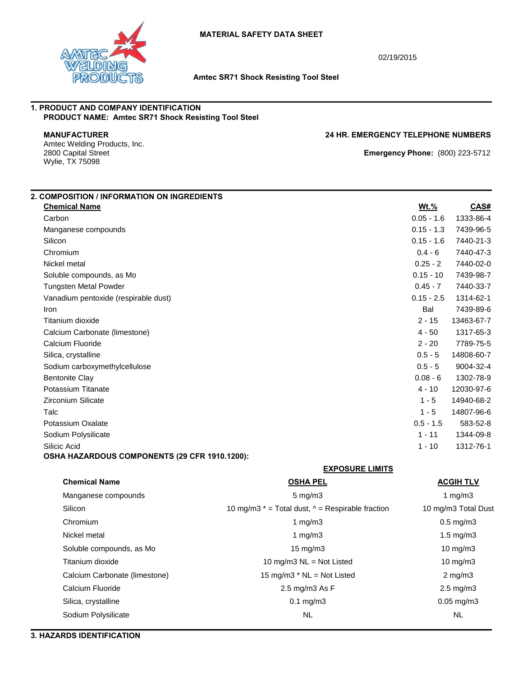

02/19/2015

### **Amtec SR71 Shock Resisting Tool Steel**

# **1. PRODUCT AND COMPANY IDENTIFICATION PRODUCT NAME: Amtec SR71 Shock Resisting Tool Steel**

Amtec Welding Products, Inc.<br>2800 Capital Street Wylie, TX 75098

**MANUFACTURER 24 HR. EMERGENCY TELEPHONE NUMBERS**

**Emergency Phone:** (800) 223-5712

| 2. COMPOSITION / INFORMATION ON INGREDIENTS                   |                                                           |                     |            |
|---------------------------------------------------------------|-----------------------------------------------------------|---------------------|------------|
| <b>Chemical Name</b>                                          |                                                           | <b>Wt.%</b>         | CAS#       |
| Carbon                                                        |                                                           | $0.05 - 1.6$        | 1333-86-4  |
| Manganese compounds                                           |                                                           | $0.15 - 1.3$        | 7439-96-5  |
| Silicon                                                       |                                                           | $0.15 - 1.6$        | 7440-21-3  |
| Chromium                                                      |                                                           | $0.4 - 6$           | 7440-47-3  |
| Nickel metal                                                  |                                                           | $0.25 - 2$          | 7440-02-0  |
| Soluble compounds, as Mo                                      |                                                           | $0.15 - 10$         | 7439-98-7  |
| <b>Tungsten Metal Powder</b>                                  |                                                           | $0.45 - 7$          | 7440-33-7  |
| Vanadium pentoxide (respirable dust)                          |                                                           | $0.15 - 2.5$        | 1314-62-1  |
| Iron                                                          |                                                           | Bal                 | 7439-89-6  |
| Titanium dioxide                                              |                                                           | $2 - 15$            | 13463-67-7 |
| Calcium Carbonate (limestone)                                 |                                                           | $4 - 50$            | 1317-65-3  |
| Calcium Fluoride                                              |                                                           | $2 - 20$            | 7789-75-5  |
| Silica, crystalline                                           |                                                           | $0.5 - 5$           | 14808-60-7 |
| Sodium carboxymethylcellulose                                 |                                                           | $0.5 - 5$           | 9004-32-4  |
| <b>Bentonite Clay</b>                                         |                                                           | $0.08 - 6$          | 1302-78-9  |
| Potassium Titanate                                            |                                                           | $4 - 10$            | 12030-97-6 |
| <b>Zirconium Silicate</b>                                     |                                                           | $1 - 5$             | 14940-68-2 |
| Talc                                                          |                                                           | $1 - 5$             | 14807-96-6 |
| Potassium Oxalate                                             |                                                           | $0.5 - 1.5$         | 583-52-8   |
| Sodium Polysilicate                                           |                                                           | $1 - 11$            | 1344-09-8  |
| Silicic Acid<br>OSHA HAZARDOUS COMPONENTS (29 CFR 1910.1200): |                                                           | $1 - 10$            | 1312-76-1  |
|                                                               | <b>EXPOSURE LIMITS</b>                                    |                     |            |
| <b>Chemical Name</b>                                          | <b>OSHA PEL</b>                                           | <b>ACGIH TLV</b>    |            |
| Manganese compounds                                           | $5$ mg/m $3$                                              | 1 $mg/m3$           |            |
| Silicon                                                       | 10 mg/m3 $*$ = Total dust, $\wedge$ = Respirable fraction | 10 mg/m3 Total Dust |            |
| Chromium                                                      | 1 $mg/m3$                                                 | $0.5$ mg/m $3$      |            |
| Nickel metal                                                  | 1 $mg/m3$                                                 | 1.5 mg/m3           |            |
| Soluble compounds, as Mo                                      | 15 mg/m3                                                  | 10 mg/m3            |            |
| Titanium dioxide                                              | 10 mg/m3 NL = Not Listed                                  | 10 mg/m3            |            |
| Calcium Carbonate (limestone)                                 | 15 mg/m3 * NL = Not Listed                                | $2$ mg/m $3$        |            |
| Calcium Fluoride                                              | 2.5 mg/m3 As F                                            | $2.5$ mg/m $3$      |            |
| Silica, crystalline                                           | $0.1$ mg/m3                                               | $0.05$ mg/m3        |            |
| Sodium Polysilicate                                           | <b>NL</b>                                                 | <b>NL</b>           |            |